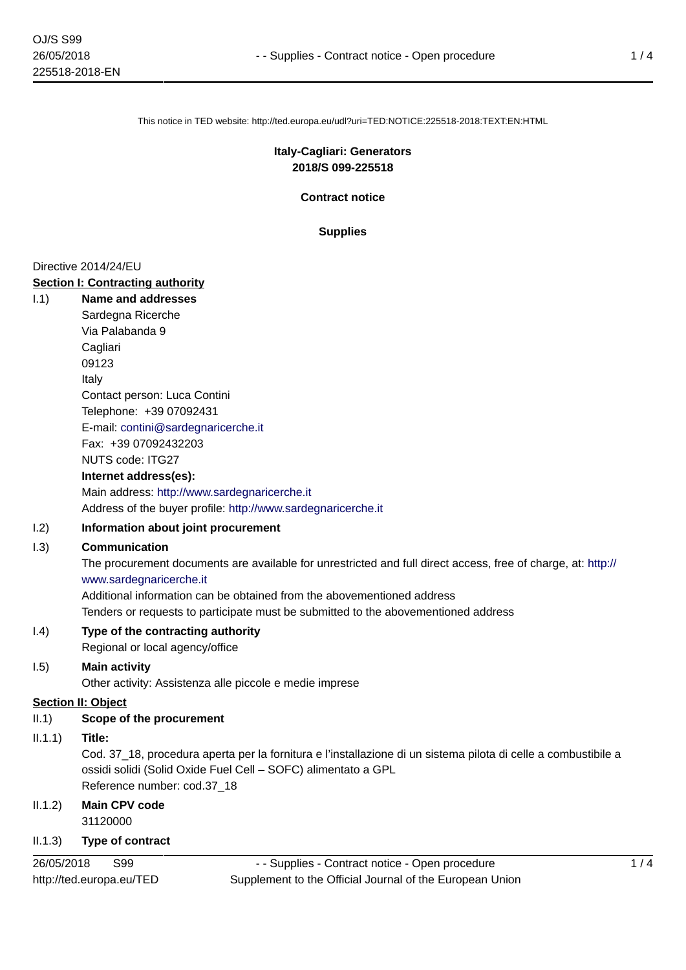This notice in TED website: http://ted.europa.eu/udl?uri=TED:NOTICE:225518-2018:TEXT:EN:HTML

## **Italy-Cagliari: Generators 2018/S 099-225518**

**Contract notice**

**Supplies**

#### Directive 2014/24/EU

**Section I: Contracting authority** I.1) **Name and addresses** Sardegna Ricerche Via Palabanda 9 **Cagliari** 09123 Italy Contact person: Luca Contini Telephone: +39 07092431 E-mail: [contini@sardegnaricerche.it](mailto:contini@sardegnaricerche.it)  Fax: +39 07092432203 NUTS code: ITG27 **Internet address(es):**

> Main address:<http://www.sardegnaricerche.it> Address of the buyer profile: <http://www.sardegnaricerche.it>

### I.2) **Information about joint procurement**

#### I.3) **Communication**

The procurement documents are available for unrestricted and full direct access, free of charge, at: [http://](http://www.sardegnaricerche.it) [www.sardegnaricerche.it](http://www.sardegnaricerche.it)

Additional information can be obtained from the abovementioned address

Tenders or requests to participate must be submitted to the abovementioned address

# I.4) **Type of the contracting authority**

Regional or local agency/office

# I.5) **Main activity**

Other activity: Assistenza alle piccole e medie imprese

#### **Section II: Object**

II.1) **Scope of the procurement**

#### II.1.1) **Title:**

Cod. 37\_18, procedura aperta per la fornitura e l'installazione di un sistema pilota di celle a combustibile a ossidi solidi (Solid Oxide Fuel Cell – SOFC) alimentato a GPL Reference number: cod.37\_18

## II.1.2) **Main CPV code** 31120000

# II.1.3) **Type of contract**

26/05/2018 S99 http://ted.europa.eu/TED

- - Supplies - Contract notice - Open procedure Supplement to the Official Journal of the European Union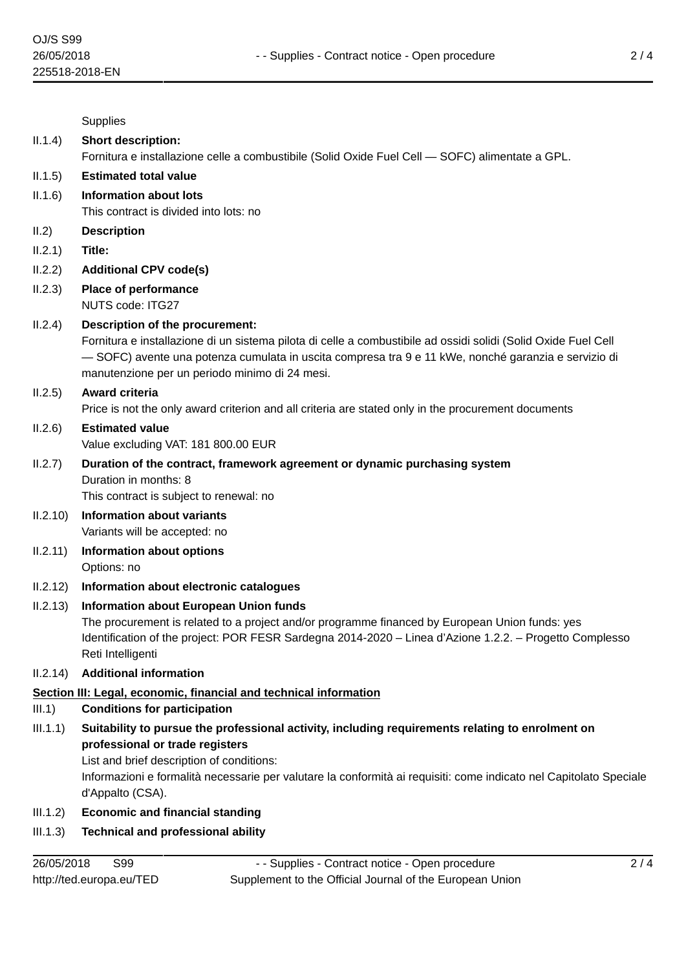|          | Supplies                                                                                                                                                                                                                                                                                                                   |
|----------|----------------------------------------------------------------------------------------------------------------------------------------------------------------------------------------------------------------------------------------------------------------------------------------------------------------------------|
| II.1.4)  | <b>Short description:</b>                                                                                                                                                                                                                                                                                                  |
|          | Fornitura e installazione celle a combustibile (Solid Oxide Fuel Cell - SOFC) alimentate a GPL.                                                                                                                                                                                                                            |
| II.1.5)  | <b>Estimated total value</b>                                                                                                                                                                                                                                                                                               |
| II.1.6)  | <b>Information about lots</b><br>This contract is divided into lots: no                                                                                                                                                                                                                                                    |
| II.2)    | <b>Description</b>                                                                                                                                                                                                                                                                                                         |
| II.2.1)  | Title:                                                                                                                                                                                                                                                                                                                     |
| II.2.2)  | <b>Additional CPV code(s)</b>                                                                                                                                                                                                                                                                                              |
| II.2.3)  | <b>Place of performance</b><br>NUTS code: ITG27                                                                                                                                                                                                                                                                            |
| II.2.4)  | Description of the procurement:<br>Fornitura e installazione di un sistema pilota di celle a combustibile ad ossidi solidi (Solid Oxide Fuel Cell<br>— SOFC) avente una potenza cumulata in uscita compresa tra 9 e 11 kWe, nonché garanzia e servizio di<br>manutenzione per un periodo minimo di 24 mesi.                |
| II.2.5)  | <b>Award criteria</b><br>Price is not the only award criterion and all criteria are stated only in the procurement documents                                                                                                                                                                                               |
| II.2.6)  | <b>Estimated value</b><br>Value excluding VAT: 181 800.00 EUR                                                                                                                                                                                                                                                              |
| II.2.7)  | Duration of the contract, framework agreement or dynamic purchasing system<br>Duration in months: 8<br>This contract is subject to renewal: no                                                                                                                                                                             |
| II.2.10) | <b>Information about variants</b><br>Variants will be accepted: no                                                                                                                                                                                                                                                         |
| II.2.11) | <b>Information about options</b><br>Options: no                                                                                                                                                                                                                                                                            |
| II.2.12) | Information about electronic catalogues                                                                                                                                                                                                                                                                                    |
| II.2.13) | <b>Information about European Union funds</b><br>The procurement is related to a project and/or programme financed by European Union funds: yes<br>Identification of the project: POR FESR Sardegna 2014-2020 - Linea d'Azione 1.2.2. - Progetto Complesso<br>Reti Intelligenti                                            |
| II.2.14) | <b>Additional information</b>                                                                                                                                                                                                                                                                                              |
|          | Section III: Legal, economic, financial and technical information                                                                                                                                                                                                                                                          |
| III.1)   | <b>Conditions for participation</b>                                                                                                                                                                                                                                                                                        |
| III.1.1) | Suitability to pursue the professional activity, including requirements relating to enrolment on<br>professional or trade registers<br>List and brief description of conditions:<br>Informazioni e formalità necessarie per valutare la conformità ai requisiti: come indicato nel Capitolato Speciale<br>d'Appalto (CSA). |
| III.1.2) | <b>Economic and financial standing</b>                                                                                                                                                                                                                                                                                     |

# III.1.3) **Technical and professional ability**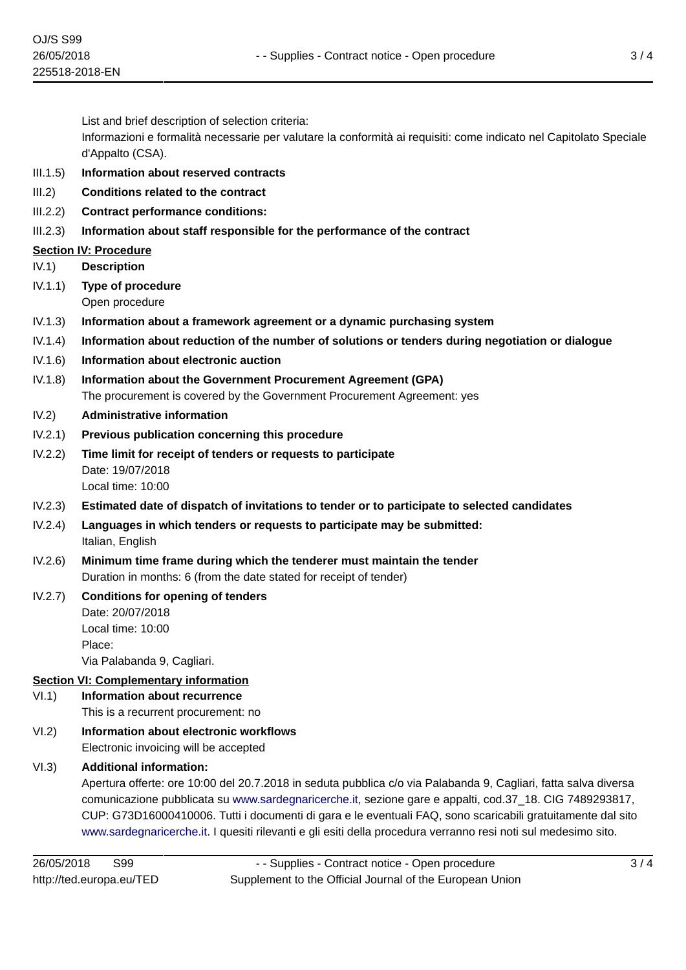List and brief description of selection criteria:

Informazioni e formalità necessarie per valutare la conformità ai requisiti: come indicato nel Capitolato Speciale d'Appalto (CSA).

- III.1.5) **Information about reserved contracts**
- III.2) **Conditions related to the contract**
- III.2.2) **Contract performance conditions:**
- III.2.3) **Information about staff responsible for the performance of the contract**

# **Section IV: Procedure**

IV.1) **Description**

IV.1.1) **Type of procedure**

Open procedure

- IV.1.3) **Information about a framework agreement or a dynamic purchasing system**
- IV.1.4) **Information about reduction of the number of solutions or tenders during negotiation or dialogue**
- IV.1.6) **Information about electronic auction**
- IV.1.8) **Information about the Government Procurement Agreement (GPA)** The procurement is covered by the Government Procurement Agreement: yes

# IV.2) **Administrative information**

- IV.2.1) **Previous publication concerning this procedure**
- IV.2.2) **Time limit for receipt of tenders or requests to participate** Date: 19/07/2018 Local time: 10:00
- IV.2.3) **Estimated date of dispatch of invitations to tender or to participate to selected candidates**
- IV.2.4) **Languages in which tenders or requests to participate may be submitted:** Italian, English
- IV.2.6) **Minimum time frame during which the tenderer must maintain the tender** Duration in months: 6 (from the date stated for receipt of tender)

# IV.2.7) **Conditions for opening of tenders** Date: 20/07/2018 Local time: 10:00

Place:

Via Palabanda 9, Cagliari.

# **Section VI: Complementary information**

- VI.1) **Information about recurrence** This is a recurrent procurement: no
- VI.2) **Information about electronic workflows** Electronic invoicing will be accepted

# VI.3) **Additional information:**

Apertura offerte: ore 10:00 del 20.7.2018 in seduta pubblica c/o via Palabanda 9, Cagliari, fatta salva diversa comunicazione pubblicata su [www.sardegnaricerche.it,](www.sardegnaricerche.it) sezione gare e appalti, cod.37\_18. CIG 7489293817, CUP: G73D16000410006. Tutti i documenti di gara e le eventuali FAQ, sono scaricabili gratuitamente dal sito [www.sardegnaricerche.it.](www.sardegnaricerche.it) I quesiti rilevanti e gli esiti della procedura verranno resi noti sul medesimo sito.